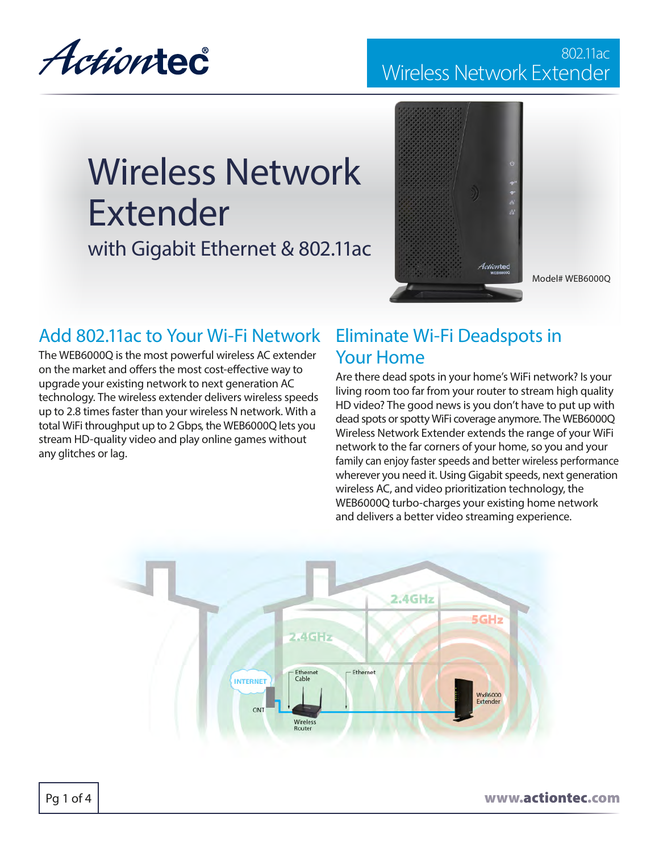Actiontec

### 802.11ac Wireless Network Extender

# Wireless Network Extender

with Gigabit Ethernet & 802.11ac



Model# WEB6000Q

### Add 802.11ac to Your Wi-Fi Network

The WEB6000Q is the most powerful wireless AC extender on the market and offers the most cost-effective way to upgrade your existing network to next generation AC technology. The wireless extender delivers wireless speeds up to 2.8 times faster than your wireless N network. With a total WiFi throughput up to 2 Gbps, the WEB6000Q lets you stream HD-quality video and play online games without any glitches or lag.

### Eliminate Wi-Fi Deadspots in Your Home

Are there dead spots in your home's WiFi network? Is your living room too far from your router to stream high quality HD video? The good news is you don't have to put up with dead spots or spotty WiFi coverage anymore. The WEB6000Q Wireless Network Extender extends the range of your WiFi network to the far corners of your home, so you and your family can enjoy faster speeds and better wireless performance wherever you need it. Using Gigabit speeds, next generation wireless AC, and video prioritization technology, the WEB6000Q turbo-charges your existing home network and delivers a better video streaming experience.



Pq 1 of 4  $\vert$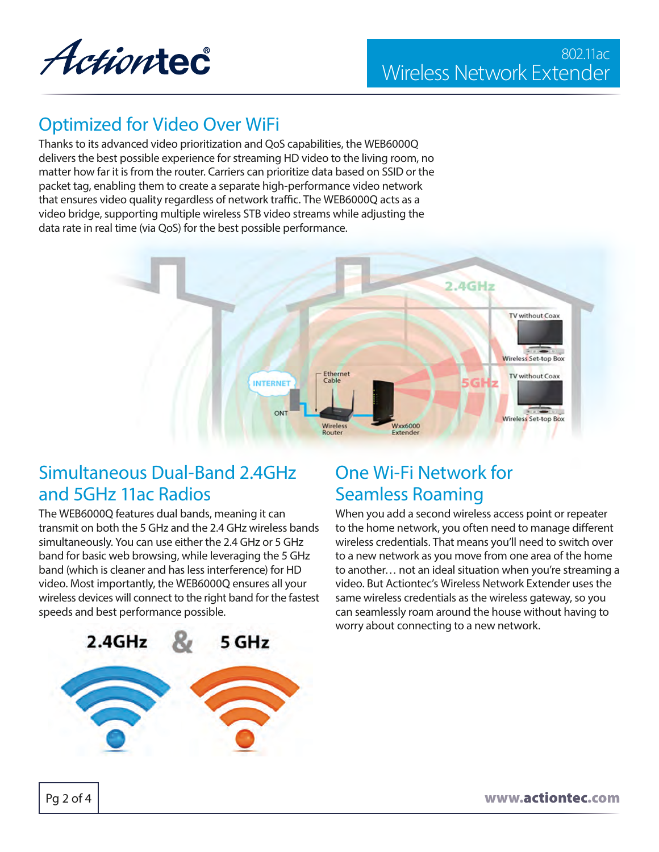

### Optimized for Video Over WiFi

Thanks to its advanced video prioritization and QoS capabilities, the WEB6000Q delivers the best possible experience for streaming HD video to the living room, no matter how far it is from the router. Carriers can prioritize data based on SSID or the packet tag, enabling them to create a separate high-performance video network that ensures video quality regardless of network traffic. The WEB6000Q acts as a video bridge, supporting multiple wireless STB video streams while adjusting the data rate in real time (via QoS) for the best possible performance.



### Simultaneous Dual-Band 2.4GHz and 5GHz 11ac Radios

The WEB6000Q features dual bands, meaning it can transmit on both the 5 GHz and the 2.4 GHz wireless bands simultaneously. You can use either the 2.4 GHz or 5 GHz band for basic web browsing, while leveraging the 5 GHz band (which is cleaner and has less interference) for HD video. Most importantly, the WEB6000Q ensures all your wireless devices will connect to the right band for the fastest speeds and best performance possible.



# One Wi-Fi Network for Seamless Roaming

When you add a second wireless access point or repeater to the home network, you often need to manage different wireless credentials. That means you'll need to switch over to a new network as you move from one area of the home to another… not an ideal situation when you're streaming a video. But Actiontec's Wireless Network Extender uses the same wireless credentials as the wireless gateway, so you can seamlessly roam around the house without having to worry about connecting to a new network.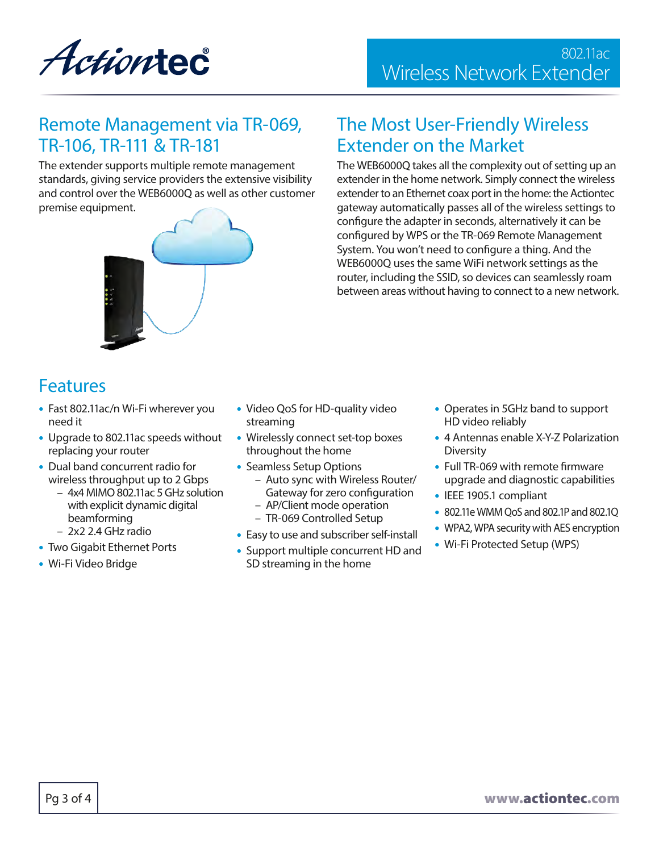Actiontec

### Remote Management via TR-069, TR-106, TR-111 & TR-181

The extender supports multiple remote management standards, giving service providers the extensive visibility and control over the WEB6000Q as well as other customer premise equipment.



### The Most User-Friendly Wireless Extender on the Market

The WEB6000Q takes all the complexity out of setting up an extender in the home network. Simply connect the wireless extender to an Ethernet coax port in the home: the Actiontec gateway automatically passes all of the wireless settings to configure the adapter in seconds, alternatively it can be configured by WPS or the TR-069 Remote Management System. You won't need to configure a thing. And the WEB6000Q uses the same WiFi network settings as the router, including the SSID, so devices can seamlessly roam between areas without having to connect to a new network.

## Features

- Fast 802.11ac/n Wi-Fi wherever you need it
- Upgrade to 802.11ac speeds without replacing your router
- Dual band concurrent radio for wireless throughput up to 2 Gbps
	- 4x4 MIMO 802.11ac 5 GHz solution with explicit dynamic digital beamforming
	- 2x2 2.4 GHz radio
- Two Gigabit Ethernet Ports
- Wi-Fi Video Bridge
- Video QoS for HD-quality video streaming
- Wirelessly connect set-top boxes throughout the home
- Seamless Setup Options
	- Auto sync with Wireless Router/ Gateway for zero configuration
	- AP/Client mode operation
	- TR-069 Controlled Setup
- Easy to use and subscriber self-install
- Support multiple concurrent HD and SD streaming in the home
- Operates in 5GHz band to support HD video reliably
- 4 Antennas enable X-Y-Z Polarization Diversity
- Full TR-069 with remote firmware upgrade and diagnostic capabilities
- IEEE 1905.1 compliant
- 802.11e WMM QoS and 802.1P and 802.1Q
- WPA2, WPA security with AES encryption
- Wi-Fi Protected Setup (WPS)